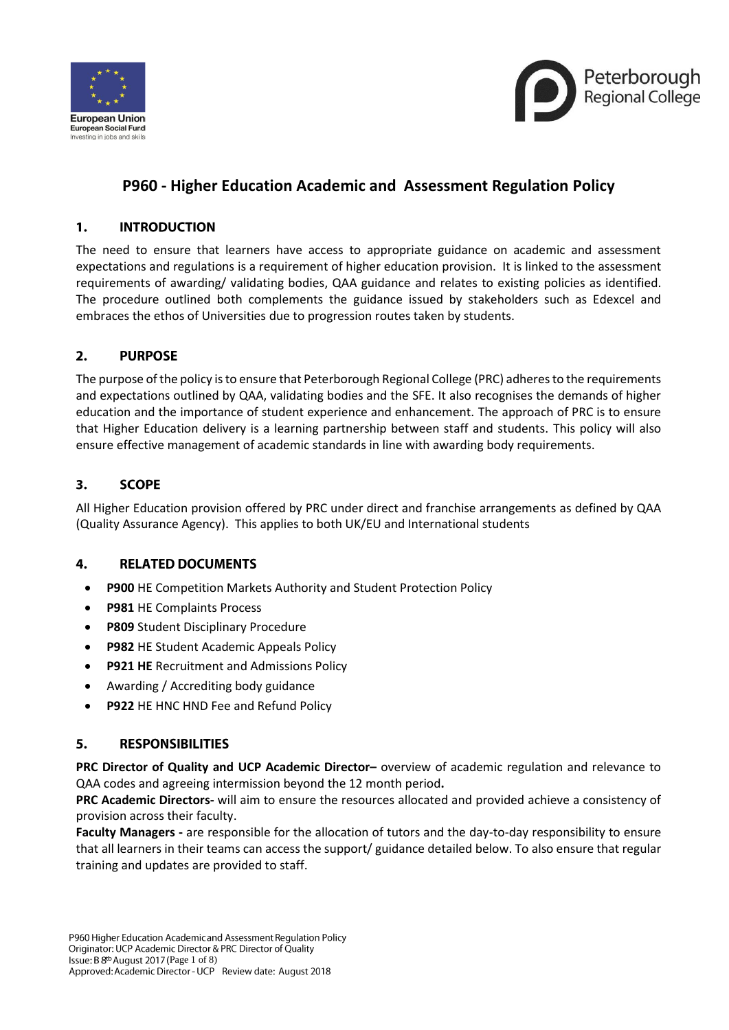



# **P960 - Higher Education Academic and Assessment Regulation Policy**

#### $\mathbf{1}$ **INTRODUCTION**

The need to ensure that learners have access to appropriate guidance on academic and assessment expectations and regulations is a requirement of higher education provision. It is linked to the assessment requirements of awarding/ validating bodies, QAA guidance and relates to existing policies as identified. The procedure outlined both complements the guidance issued by stakeholders such as Edexcel and embraces the ethos of Universities due to progression routes taken by students.

#### $2.$ **PURPOSE**

The purpose of the policy is to ensure that Peterborough Regional College (PRC) adheres to the requirements and expectations outlined by QAA, validating bodies and the SFE. It also recognises the demands of higher education and the importance of student experience and enhancement. The approach of PRC is to ensure that Higher Education delivery is a learning partnership between staff and students. This policy will also ensure effective management of academic standards in line with awarding body requirements.

#### $3.$ **SCOPE**

All Higher Education provision offered by PRC under direct and franchise arrangements as defined by QAA (Quality Assurance Agency). This applies to both UK/EU and International students

#### 4. **RELATED DOCUMENTS**

- **P900** HE Competition Markets Authority and Student Protection Policy
- **P981** HE Complaints Process
- **P809** Student Disciplinary Procedure
- **P982** HE Student Academic Appeals Policy
- **P921 HE** Recruitment and Admissions Policy
- Awarding / Accrediting body guidance
- **P922 HE HNC HND Fee and Refund Policy**

#### **RESPONSIBILITIES** 5.

**PRC Director of Quality and UCP Academic Director–** overview of academic regulation and relevance to QAA codes and agreeing intermission beyond the 12 month period**.**

**PRC Academic Directors-** will aim to ensure the resources allocated and provided achieve a consistency of provision across their faculty.

**Faculty Managers -** are responsible for the allocation of tutors and the day-to-day responsibility to ensure that all learners in their teams can access the support/ guidance detailed below. To also ensure that regular training and updates are provided to staff.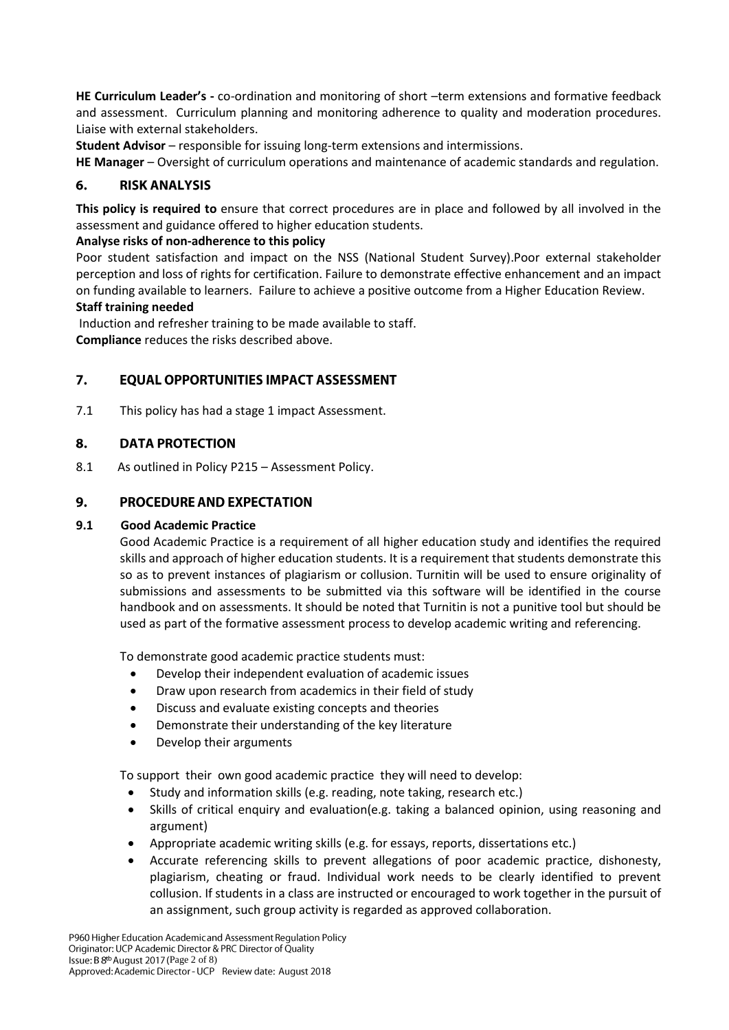**HE Curriculum Leader's -** co-ordination and monitoring of short –term extensions and formative feedback and assessment. Curriculum planning and monitoring adherence to quality and moderation procedures. Liaise with external stakeholders.

**Student Advisor** – responsible for issuing long-term extensions and intermissions.

**HE Manager** – Oversight of curriculum operations and maintenance of academic standards and regulation.

#### 6. **RISK ANALYSIS**

**This policy is required to** ensure that correct procedures are in place and followed by all involved in the assessment and guidance offered to higher education students.

# **Analyse risks of non-adherence to this policy**

Poor student satisfaction and impact on the NSS (National Student Survey).Poor external stakeholder perception and loss of rights for certification. Failure to demonstrate effective enhancement and an impact on funding available to learners. Failure to achieve a positive outcome from a Higher Education Review.

### **Staff training needed**

Induction and refresher training to be made available to staff. **Compliance** reduces the risks described above.

#### **EQUAL OPPORTUNITIES IMPACT ASSESSMENT** 7.

7.1 This policy has had a stage 1 impact Assessment.

#### 8. **DATA PROTECTION**

8.1 As outlined in Policy P215 – Assessment Policy.

#### 9. **PROCEDURE AND EXPECTATION**

# **9.1 Good Academic Practice**

Good Academic Practice is a requirement of all higher education study and identifies the required skills and approach of higher education students. It is a requirement that students demonstrate this so as to prevent instances of plagiarism or collusion. Turnitin will be used to ensure originality of submissions and assessments to be submitted via this software will be identified in the course handbook and on assessments. It should be noted that Turnitin is not a punitive tool but should be used as part of the formative assessment process to develop academic writing and referencing.

To demonstrate good academic practice students must:

- Develop their independent evaluation of academic issues
- Draw upon research from academics in their field of study
- Discuss and evaluate existing concepts and theories
- Demonstrate their understanding of the key literature
- Develop their arguments

To support their own good academic practice they will need to develop:

- Study and information skills (e.g. reading, note taking, research etc.)
- Skills of critical enquiry and evaluation(e.g. taking a balanced opinion, using reasoning and argument)
- Appropriate academic writing skills (e.g. for essays, reports, dissertations etc.)
- Accurate referencing skills to prevent allegations of poor academic practice, dishonesty, plagiarism, cheating or fraud. Individual work needs to be clearly identified to prevent collusion. If students in a class are instructed or encouraged to work together in the pursuit of an assignment, such group activity is regarded as approved collaboration.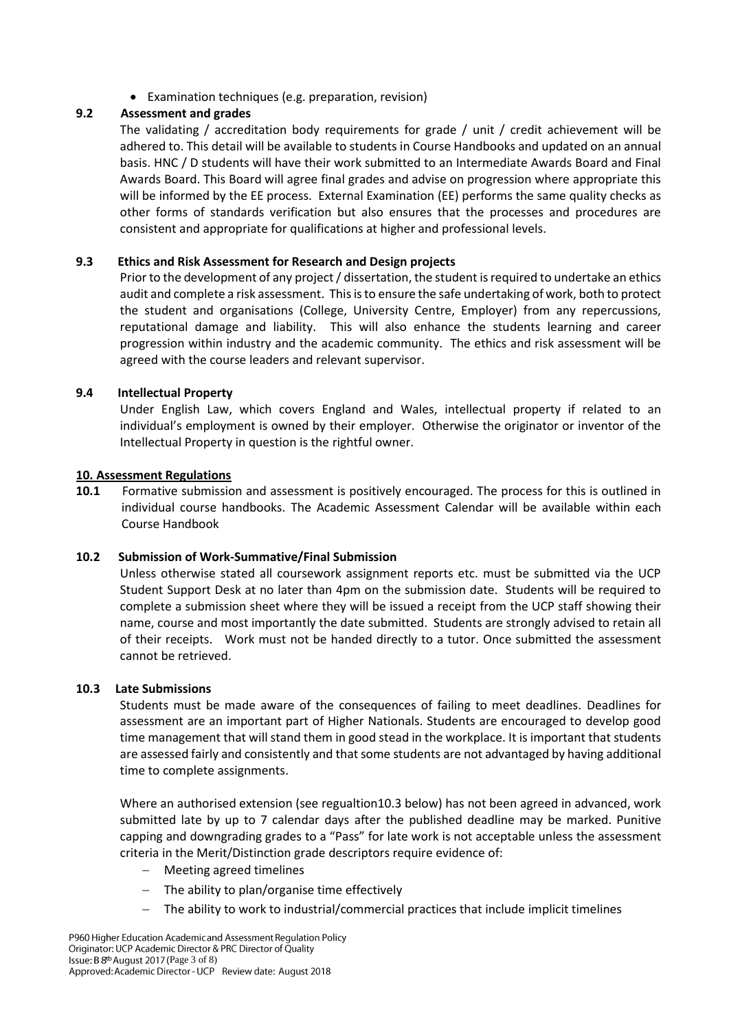Examination techniques (e.g. preparation, revision)

# **9.2 Assessment and grades**

The validating / accreditation body requirements for grade / unit / credit achievement will be adhered to. This detail will be available to students in Course Handbooks and updated on an annual basis. HNC / D students will have their work submitted to an Intermediate Awards Board and Final Awards Board. This Board will agree final grades and advise on progression where appropriate this will be informed by the EE process. External Examination (EE) performs the same quality checks as other forms of standards verification but also ensures that the processes and procedures are consistent and appropriate for qualifications at higher and professional levels.

# **9.3 Ethics and Risk Assessment for Research and Design projects**

Prior to the development of any project / dissertation, the student is required to undertake an ethics audit and complete a risk assessment. This is to ensure the safe undertaking of work, both to protect the student and organisations (College, University Centre, Employer) from any repercussions, reputational damage and liability. This will also enhance the students learning and career progression within industry and the academic community. The ethics and risk assessment will be agreed with the course leaders and relevant supervisor.

# **9.4 Intellectual Property**

Under English Law, which covers England and Wales, intellectual property if related to an individual's employment is owned by their employer. Otherwise the originator or inventor of the Intellectual Property in question is the rightful owner.

### **10. Assessment Regulations**

**10.1** Formative submission and assessment is positively encouraged. The process for this is outlined in individual course handbooks. The Academic Assessment Calendar will be available within each Course Handbook

# **10.2 Submission of Work-Summative/Final Submission**

Unless otherwise stated all coursework assignment reports etc. must be submitted via the UCP Student Support Desk at no later than 4pm on the submission date. Students will be required to complete a submission sheet where they will be issued a receipt from the UCP staff showing their name, course and most importantly the date submitted. Students are strongly advised to retain all of their receipts. Work must not be handed directly to a tutor. Once submitted the assessment cannot be retrieved.

### **10.3 Late Submissions**

Students must be made aware of the consequences of failing to meet deadlines. Deadlines for assessment are an important part of Higher Nationals. Students are encouraged to develop good time management that will stand them in good stead in the workplace. It is important that students are assessed fairly and consistently and that some students are not advantaged by having additional time to complete assignments.

Where an authorised extension (see regualtion10.3 below) has not been agreed in advanced, work submitted late by up to 7 calendar days after the published deadline may be marked. Punitive capping and downgrading grades to a "Pass" for late work is not acceptable unless the assessment criteria in the Merit/Distinction grade descriptors require evidence of:

- Meeting agreed timelines
- The ability to plan/organise time effectively
- The ability to work to industrial/commercial practices that include implicit timelines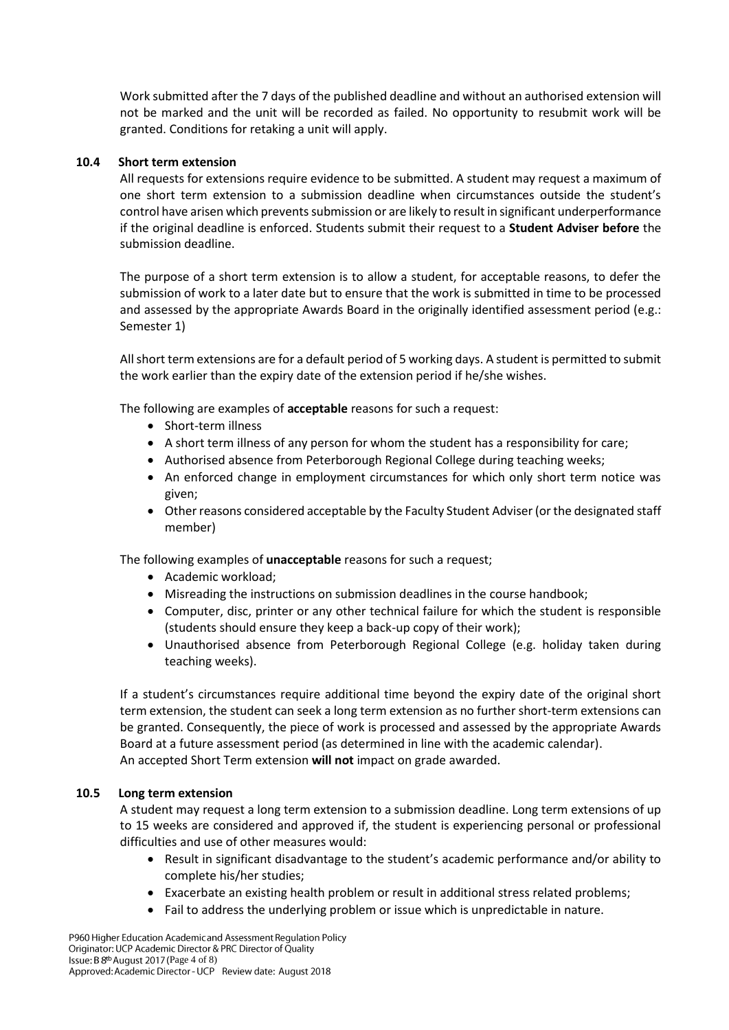Work submitted after the 7 days of the published deadline and without an authorised extension will not be marked and the unit will be recorded as failed. No opportunity to resubmit work will be granted. Conditions for retaking a unit will apply.

### **10.4 Short term extension**

All requests for extensions require evidence to be submitted. A student may request a maximum of one short term extension to a submission deadline when circumstances outside the student's control have arisen which prevents submission or are likely to result in significant underperformance if the original deadline is enforced. Students submit their request to a **Student Adviser before** the submission deadline.

The purpose of a short term extension is to allow a student, for acceptable reasons, to defer the submission of work to a later date but to ensure that the work is submitted in time to be processed and assessed by the appropriate Awards Board in the originally identified assessment period (e.g.: Semester 1)

All short term extensions are for a default period of 5 working days. A student is permitted to submit the work earlier than the expiry date of the extension period if he/she wishes.

The following are examples of **acceptable** reasons for such a request:

- Short-term illness
- A short term illness of any person for whom the student has a responsibility for care;
- Authorised absence from Peterborough Regional College during teaching weeks;
- An enforced change in employment circumstances for which only short term notice was given;
- Other reasons considered acceptable by the Faculty Student Adviser (or the designated staff member)

The following examples of **unacceptable** reasons for such a request;

- Academic workload;
- Misreading the instructions on submission deadlines in the course handbook;
- Computer, disc, printer or any other technical failure for which the student is responsible (students should ensure they keep a back-up copy of their work);
- Unauthorised absence from Peterborough Regional College (e.g. holiday taken during teaching weeks).

If a student's circumstances require additional time beyond the expiry date of the original short term extension, the student can seek a long term extension as no further short-term extensions can be granted. Consequently, the piece of work is processed and assessed by the appropriate Awards Board at a future assessment period (as determined in line with the academic calendar). An accepted Short Term extension **will not** impact on grade awarded.

### **10.5 Long term extension**

A student may request a long term extension to a submission deadline. Long term extensions of up to 15 weeks are considered and approved if, the student is experiencing personal or professional difficulties and use of other measures would:

- Result in significant disadvantage to the student's academic performance and/or ability to complete his/her studies;
- Exacerbate an existing health problem or result in additional stress related problems;
- Fail to address the underlying problem or issue which is unpredictable in nature.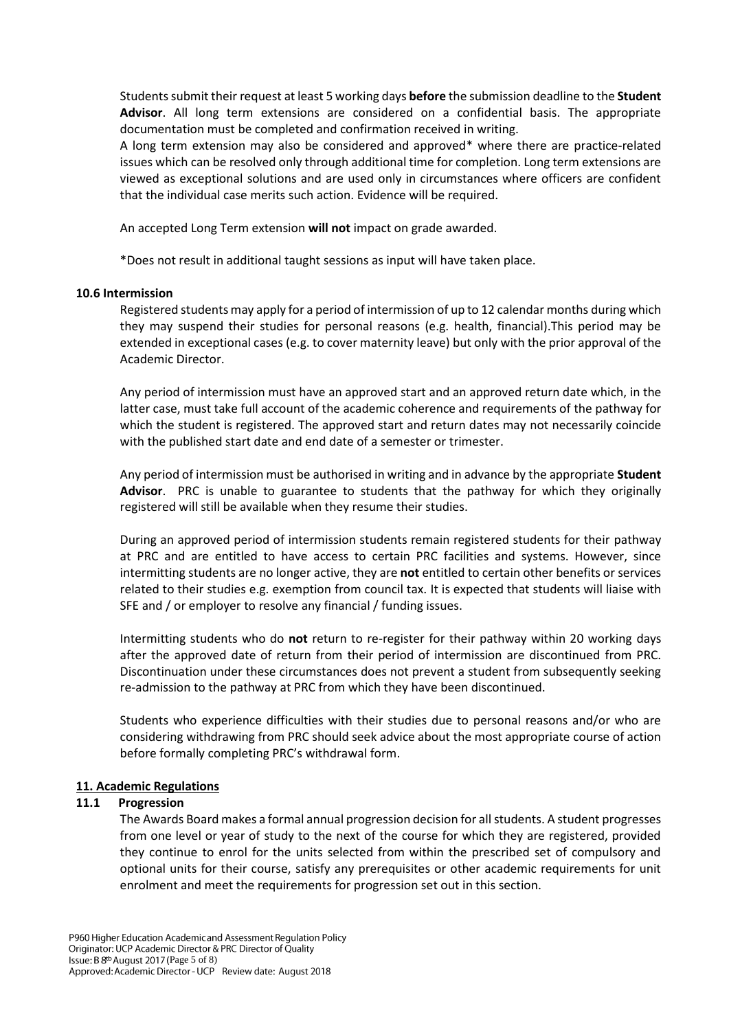Students submit their request at least 5 working days **before** the submission deadline to the **Student Advisor**. All long term extensions are considered on a confidential basis. The appropriate documentation must be completed and confirmation received in writing.

A long term extension may also be considered and approved\* where there are practice-related issues which can be resolved only through additional time for completion. Long term extensions are viewed as exceptional solutions and are used only in circumstances where officers are confident that the individual case merits such action. Evidence will be required.

An accepted Long Term extension **will not** impact on grade awarded.

\*Does not result in additional taught sessions as input will have taken place.

### **10.6 Intermission**

Registered students may apply for a period of intermission of up to 12 calendar months during which they may suspend their studies for personal reasons (e.g. health, financial).This period may be extended in exceptional cases (e.g. to cover maternity leave) but only with the prior approval of the Academic Director.

Any period of intermission must have an approved start and an approved return date which, in the latter case, must take full account of the academic coherence and requirements of the pathway for which the student is registered. The approved start and return dates may not necessarily coincide with the published start date and end date of a semester or trimester.

Any period of intermission must be authorised in writing and in advance by the appropriate **Student Advisor**. PRC is unable to guarantee to students that the pathway for which they originally registered will still be available when they resume their studies.

During an approved period of intermission students remain registered students for their pathway at PRC and are entitled to have access to certain PRC facilities and systems. However, since intermitting students are no longer active, they are **not** entitled to certain other benefits or services related to their studies e.g. exemption from council tax. It is expected that students will liaise with SFE and / or employer to resolve any financial / funding issues.

Intermitting students who do **not** return to re-register for their pathway within 20 working days after the approved date of return from their period of intermission are discontinued from PRC. Discontinuation under these circumstances does not prevent a student from subsequently seeking re-admission to the pathway at PRC from which they have been discontinued.

Students who experience difficulties with their studies due to personal reasons and/or who are considering withdrawing from PRC should seek advice about the most appropriate course of action before formally completing PRC's withdrawal form.

### **11. Academic Regulations**

### **11.1 Progression**

The Awards Board makes a formal annual progression decision for all students. A student progresses from one level or year of study to the next of the course for which they are registered, provided they continue to enrol for the units selected from within the prescribed set of compulsory and optional units for their course, satisfy any prerequisites or other academic requirements for unit enrolment and meet the requirements for progression set out in this section.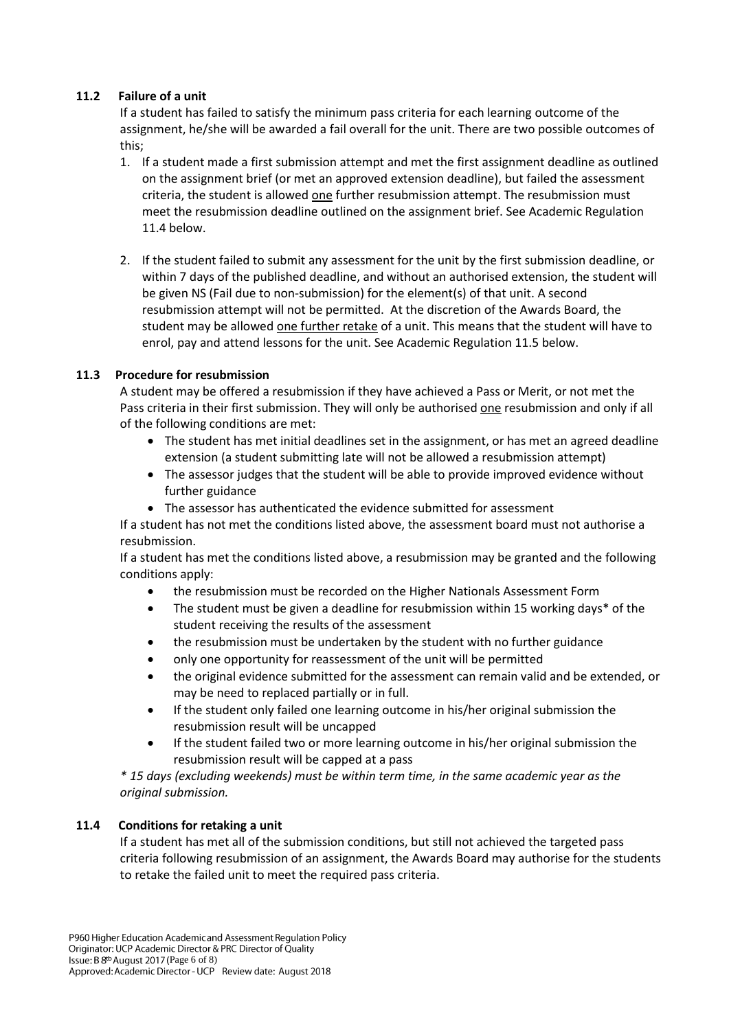# **11.2 Failure of a unit**

If a student has failed to satisfy the minimum pass criteria for each learning outcome of the assignment, he/she will be awarded a fail overall for the unit. There are two possible outcomes of this;

- 1. If a student made a first submission attempt and met the first assignment deadline as outlined on the assignment brief (or met an approved extension deadline), but failed the assessment criteria, the student is allowed one further resubmission attempt. The resubmission must meet the resubmission deadline outlined on the assignment brief. See Academic Regulation 11.4 below.
- 2. If the student failed to submit any assessment for the unit by the first submission deadline, or within 7 days of the published deadline, and without an authorised extension, the student will be given NS (Fail due to non-submission) for the element(s) of that unit. A second resubmission attempt will not be permitted. At the discretion of the Awards Board, the student may be allowed one further retake of a unit. This means that the student will have to enrol, pay and attend lessons for the unit. See Academic Regulation 11.5 below.

# **11.3 Procedure for resubmission**

A student may be offered a resubmission if they have achieved a Pass or Merit, or not met the Pass criteria in their first submission. They will only be authorised one resubmission and only if all of the following conditions are met:

- The student has met initial deadlines set in the assignment, or has met an agreed deadline extension (a student submitting late will not be allowed a resubmission attempt)
- The assessor judges that the student will be able to provide improved evidence without further guidance
- The assessor has authenticated the evidence submitted for assessment

If a student has not met the conditions listed above, the assessment board must not authorise a resubmission.

If a student has met the conditions listed above, a resubmission may be granted and the following conditions apply:

- the resubmission must be recorded on the Higher Nationals Assessment Form
- The student must be given a deadline for resubmission within 15 working days\* of the student receiving the results of the assessment
- the resubmission must be undertaken by the student with no further guidance
- only one opportunity for reassessment of the unit will be permitted
- the original evidence submitted for the assessment can remain valid and be extended, or may be need to replaced partially or in full.
- If the student only failed one learning outcome in his/her original submission the resubmission result will be uncapped
- If the student failed two or more learning outcome in his/her original submission the resubmission result will be capped at a pass

*\* 15 days (excluding weekends) must be within term time, in the same academic year as the original submission.* 

# **11.4 Conditions for retaking a unit**

If a student has met all of the submission conditions, but still not achieved the targeted pass criteria following resubmission of an assignment, the Awards Board may authorise for the students to retake the failed unit to meet the required pass criteria.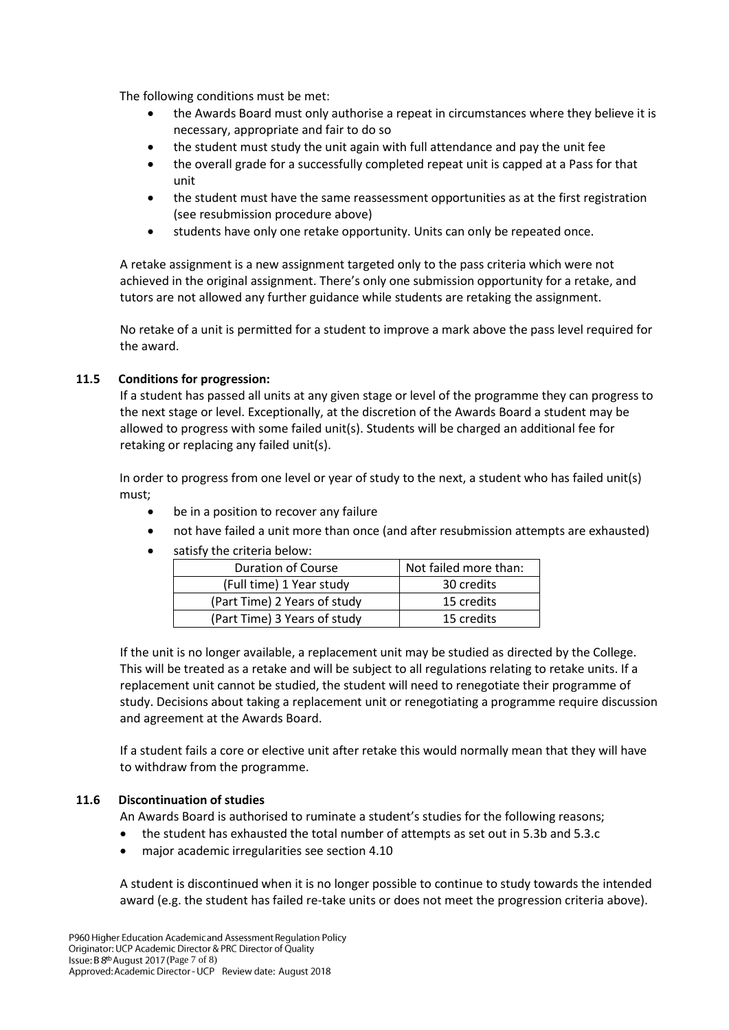The following conditions must be met:

- the Awards Board must only authorise a repeat in circumstances where they believe it is necessary, appropriate and fair to do so
- the student must study the unit again with full attendance and pay the unit fee
- the overall grade for a successfully completed repeat unit is capped at a Pass for that unit
- the student must have the same reassessment opportunities as at the first registration (see resubmission procedure above)
- students have only one retake opportunity. Units can only be repeated once.

A retake assignment is a new assignment targeted only to the pass criteria which were not achieved in the original assignment. There's only one submission opportunity for a retake, and tutors are not allowed any further guidance while students are retaking the assignment.

No retake of a unit is permitted for a student to improve a mark above the pass level required for the award.

# **11.5 Conditions for progression:**

If a student has passed all units at any given stage or level of the programme they can progress to the next stage or level. Exceptionally, at the discretion of the Awards Board a student may be allowed to progress with some failed unit(s). Students will be charged an additional fee for retaking or replacing any failed unit(s).

In order to progress from one level or year of study to the next, a student who has failed unit(s) must;

- be in a position to recover any failure
- not have failed a unit more than once (and after resubmission attempts are exhausted)
- satisfy the criteria below:

| <b>Duration of Course</b>    | Not failed more than: |  |  |
|------------------------------|-----------------------|--|--|
| (Full time) 1 Year study     | 30 credits            |  |  |
| (Part Time) 2 Years of study | 15 credits            |  |  |
| (Part Time) 3 Years of study | 15 credits            |  |  |

If the unit is no longer available, a replacement unit may be studied as directed by the College. This will be treated as a retake and will be subject to all regulations relating to retake units. If a replacement unit cannot be studied, the student will need to renegotiate their programme of study. Decisions about taking a replacement unit or renegotiating a programme require discussion and agreement at the Awards Board.

If a student fails a core or elective unit after retake this would normally mean that they will have to withdraw from the programme.

# **11.6 Discontinuation of studies**

An Awards Board is authorised to ruminate a student's studies for the following reasons;

- the student has exhausted the total number of attempts as set out in 5.3b and 5.3.c
- major academic irregularities see section 4.10

A student is discontinued when it is no longer possible to continue to study towards the intended award (e.g. the student has failed re-take units or does not meet the progression criteria above).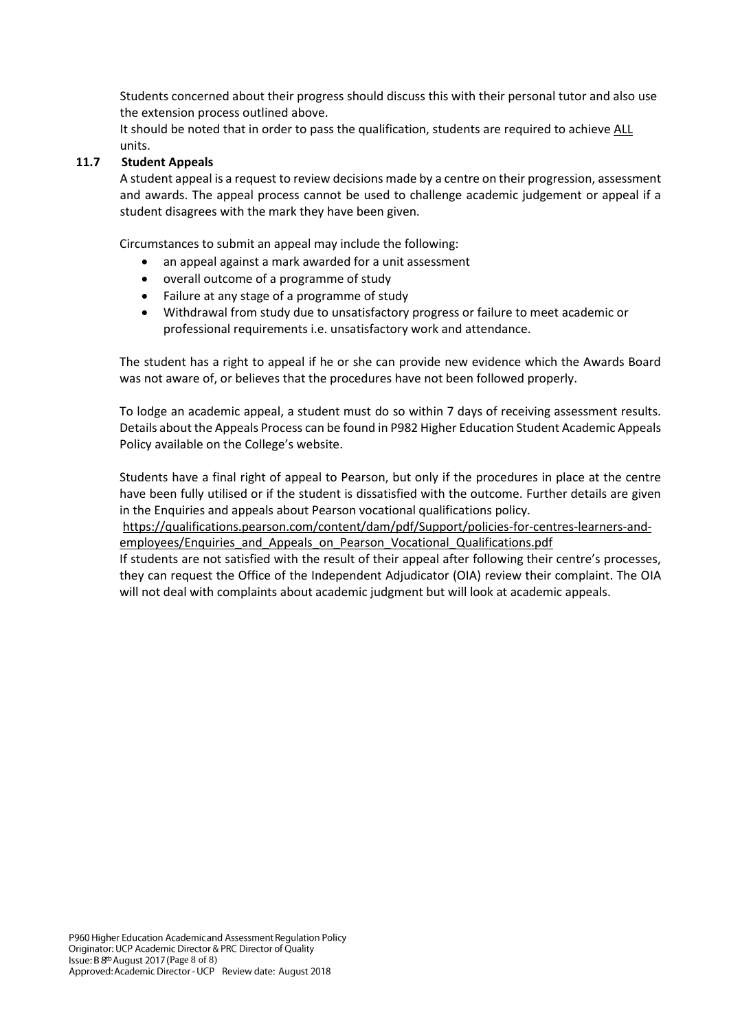Students concerned about their progress should discuss this with their personal tutor and also use the extension process outlined above.

It should be noted that in order to pass the qualification, students are required to achieve ALL units.

### **11.7 Student Appeals**

A student appeal is a request to review decisions made by a centre on their progression, assessment and awards. The appeal process cannot be used to challenge academic judgement or appeal if a student disagrees with the mark they have been given.

Circumstances to submit an appeal may include the following:

- an appeal against a mark awarded for a unit assessment
- overall outcome of a programme of study
- Failure at any stage of a programme of study
- Withdrawal from study due to unsatisfactory progress or failure to meet academic or professional requirements i.e. unsatisfactory work and attendance.

The student has a right to appeal if he or she can provide new evidence which the Awards Board was not aware of, or believes that the procedures have not been followed properly.

To lodge an academic appeal, a student must do so within 7 days of receiving assessment results. Details about the Appeals Process can be found in P982 Higher Education Student Academic Appeals Policy available on the College's website.

Students have a final right of appeal to Pearson, but only if the procedures in place at the centre have been fully utilised or if the student is dissatisfied with the outcome. Further details are given in the Enquiries and appeals about Pearson vocational qualifications policy.

[https://qualifications.pearson.com/content/dam/pdf/Support/policies-for-centres-learners-and](https://qualifications.pearson.com/content/dam/pdf/Support/policies-for-centres-learners-and-employees/Enquiries_and_Appeals_on_Pearson_Vocational_Qualifications.pdf)[employees/Enquiries\\_and\\_Appeals\\_on\\_Pearson\\_Vocational\\_Qualifications.pdf](https://qualifications.pearson.com/content/dam/pdf/Support/policies-for-centres-learners-and-employees/Enquiries_and_Appeals_on_Pearson_Vocational_Qualifications.pdf)

If students are not satisfied with the result of their appeal after following their centre's processes, they can request the Office of the Independent Adjudicator (OIA) review their complaint. The OIA will not deal with complaints about academic judgment but will look at academic appeals.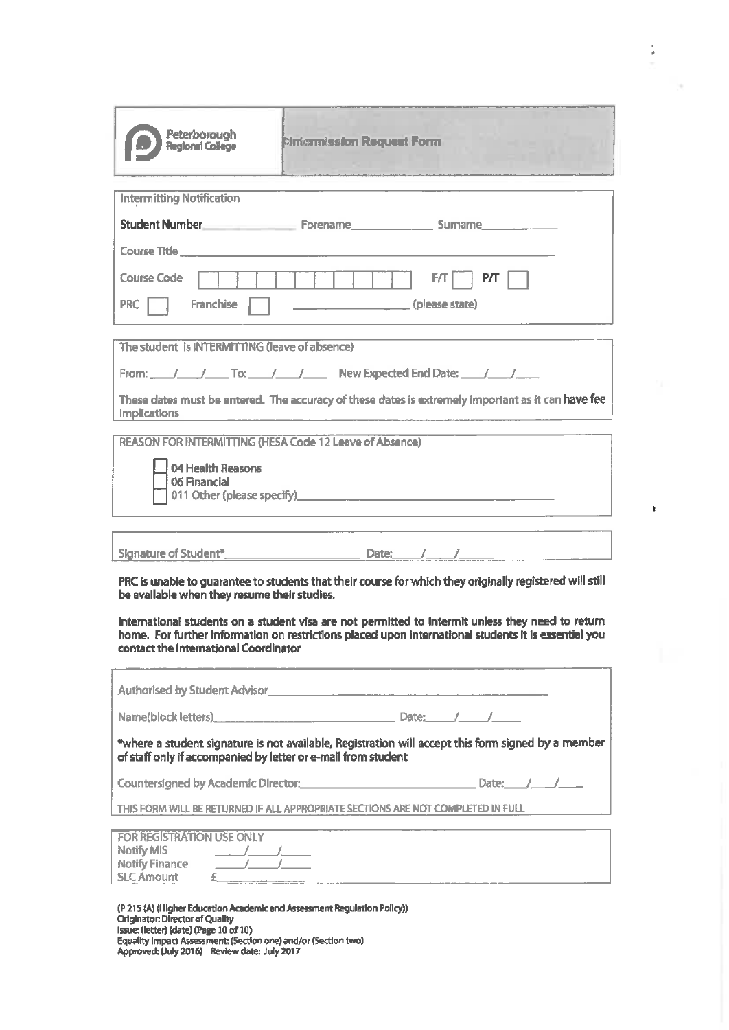| Peterborough<br><b>Regional College</b>                                                                                                                                                                                                                                                                                                                                                                        | <b>Mintermission Request Form</b> | <u> 2008 - John A. John A. Martin Alexander (d. 1982)</u> |            |  |  |
|----------------------------------------------------------------------------------------------------------------------------------------------------------------------------------------------------------------------------------------------------------------------------------------------------------------------------------------------------------------------------------------------------------------|-----------------------------------|-----------------------------------------------------------|------------|--|--|
| <b>Intermitting Notification</b>                                                                                                                                                                                                                                                                                                                                                                               |                                   |                                                           |            |  |  |
|                                                                                                                                                                                                                                                                                                                                                                                                                |                                   |                                                           |            |  |  |
| Student Number <b>Common Common Common Common Common Common Common Common Common Common Common Common Common Common Common Common Common Common Common Common Common Common Common Common Common Common Common Common Common Com</b>                                                                                                                                                                           |                                   |                                                           |            |  |  |
|                                                                                                                                                                                                                                                                                                                                                                                                                |                                   |                                                           |            |  |  |
| <b>Course Code</b>                                                                                                                                                                                                                                                                                                                                                                                             |                                   | FT                                                        | $\top$ P/T |  |  |
| Franchise<br><b>PRC</b>                                                                                                                                                                                                                                                                                                                                                                                        |                                   | <u>(please state)</u>                                     |            |  |  |
|                                                                                                                                                                                                                                                                                                                                                                                                                |                                   |                                                           |            |  |  |
| The student is INTERMITTING (leave of absence)                                                                                                                                                                                                                                                                                                                                                                 |                                   |                                                           |            |  |  |
|                                                                                                                                                                                                                                                                                                                                                                                                                |                                   |                                                           |            |  |  |
| From: / / To: / / New Expected End Date: / /                                                                                                                                                                                                                                                                                                                                                                   |                                   |                                                           |            |  |  |
| These dates must be entered. The accuracy of these dates is extremely important as it can have fee<br><b>implications</b>                                                                                                                                                                                                                                                                                      |                                   |                                                           |            |  |  |
| <b>REASON FOR INTERMITTING (HESA Code 12 Leave of Absence)</b>                                                                                                                                                                                                                                                                                                                                                 |                                   |                                                           |            |  |  |
| 04 Health Reasons<br>06 Financial<br>011 Other (please specify)<br>expansion of the contract of the contract of the contract of the contract of the contract of the contract of the contract of the contract of the contract of the contract of the contract of the c                                                                                                                                          |                                   |                                                           |            |  |  |
|                                                                                                                                                                                                                                                                                                                                                                                                                |                                   |                                                           |            |  |  |
|                                                                                                                                                                                                                                                                                                                                                                                                                |                                   |                                                           |            |  |  |
| PRC is unable to guarantee to students that their course for which they originally registered will still<br>be available when they resume their studies.<br>International students on a student visa are not permitted to intermit unless they need to return<br>home. For further information on restrictions placed upon international students it is essential you<br>contact the International Coordinator |                                   |                                                           |            |  |  |
| Authorised by Student Advisor <b>Authority Advisor Container Advisor Container Advisor Container Advisor</b>                                                                                                                                                                                                                                                                                                   |                                   |                                                           |            |  |  |
|                                                                                                                                                                                                                                                                                                                                                                                                                |                                   |                                                           |            |  |  |
| *where a student signature is not available, Registration will accept this form signed by a member<br>of staff only if accompanied by letter or e-mail from student                                                                                                                                                                                                                                            |                                   |                                                           |            |  |  |
| Countersigned by Academic Director: Director: Director: Date: Date: Date: Date:                                                                                                                                                                                                                                                                                                                                |                                   |                                                           |            |  |  |
| THIS FORM WILL BE RETURNED IF ALL APPROPRIATE SECTIONS ARE NOT COMPLETED IN FULL                                                                                                                                                                                                                                                                                                                               |                                   |                                                           |            |  |  |
|                                                                                                                                                                                                                                                                                                                                                                                                                |                                   |                                                           |            |  |  |
| FOR REGISTRATION USE ONLY<br><b>Notify MIS</b><br>$\frac{1}{2}$ $\frac{1}{2}$ $\frac{1}{2}$ $\frac{1}{2}$ $\frac{1}{2}$ $\frac{1}{2}$ $\frac{1}{2}$ $\frac{1}{2}$ $\frac{1}{2}$ $\frac{1}{2}$ $\frac{1}{2}$ $\frac{1}{2}$ $\frac{1}{2}$ $\frac{1}{2}$ $\frac{1}{2}$ $\frac{1}{2}$ $\frac{1}{2}$ $\frac{1}{2}$ $\frac{1}{2}$ $\frac{1}{2}$ $\frac{1}{2}$ $\frac{1}{2}$                                          |                                   |                                                           |            |  |  |
|                                                                                                                                                                                                                                                                                                                                                                                                                |                                   |                                                           |            |  |  |
| <b>SLC Amount</b>                                                                                                                                                                                                                                                                                                                                                                                              |                                   |                                                           |            |  |  |
|                                                                                                                                                                                                                                                                                                                                                                                                                |                                   |                                                           |            |  |  |

 $\frac{1}{\theta}$ 

 $\hat{\textbf{t}}$ 

(P 215 (A) (Higher Education Academic and Assessment Regulation Policy))<br>Originator: Director of Quality<br>Issue: (letter) (date) (Page 10 of 10)<br>Equality Impact Assessment: (Section one) and/or (Section two)<br>Approved: (July